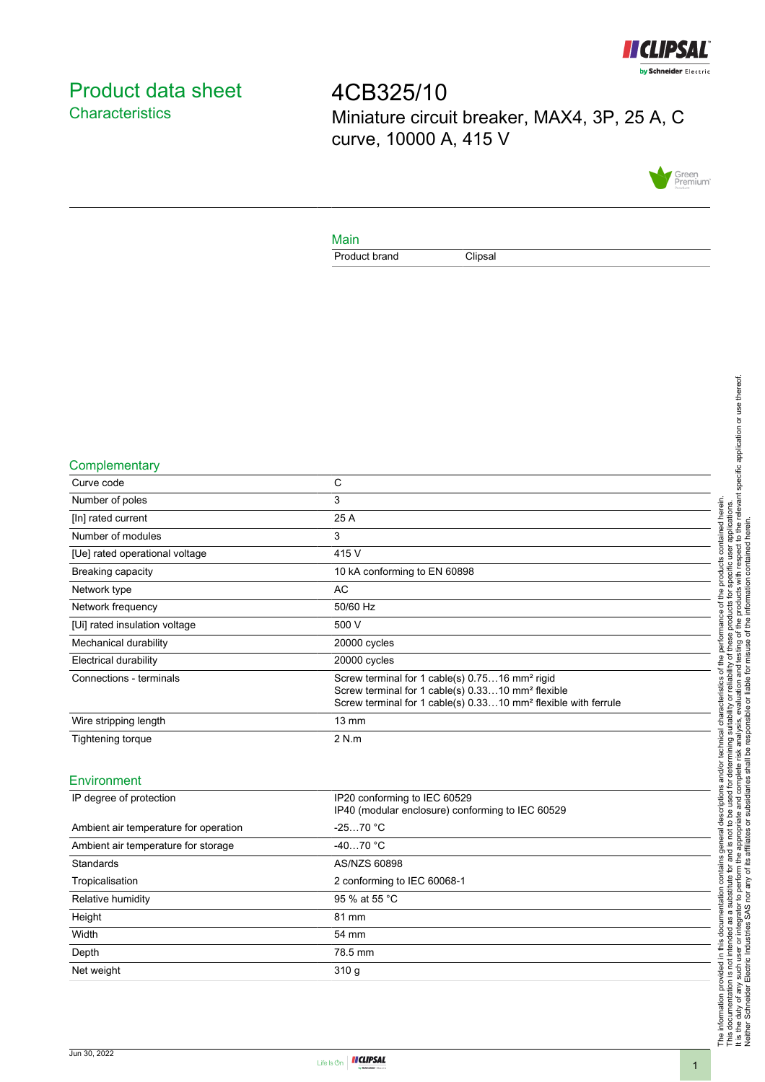

# <span id="page-0-0"></span>Product data sheet **Characteristics**

4CB325/10 Miniature circuit breaker, MAX4, 3P, 25 A, C curve, 10000 A, 415 V



#### Main

Product brand Clipsal

### **Complementary**

| Curve code                     | C                                                                                                                                                                                                         |
|--------------------------------|-----------------------------------------------------------------------------------------------------------------------------------------------------------------------------------------------------------|
| Number of poles                | 3                                                                                                                                                                                                         |
| [In] rated current             | 25 A                                                                                                                                                                                                      |
| Number of modules              | 3                                                                                                                                                                                                         |
| [Ue] rated operational voltage | 415 V                                                                                                                                                                                                     |
| <b>Breaking capacity</b>       | 10 kA conforming to EN 60898                                                                                                                                                                              |
| Network type                   | AC.                                                                                                                                                                                                       |
| Network frequency              | 50/60 Hz                                                                                                                                                                                                  |
| [Ui] rated insulation voltage  | 500 V                                                                                                                                                                                                     |
| Mechanical durability          | 20000 cycles                                                                                                                                                                                              |
| <b>Electrical durability</b>   | 20000 cycles                                                                                                                                                                                              |
| Connections - terminals        | Screw terminal for 1 cable(s) 0.7516 mm <sup>2</sup> rigid<br>Screw terminal for 1 cable(s) 0.3310 mm <sup>2</sup> flexible<br>Screw terminal for 1 cable(s) 0.3310 mm <sup>2</sup> flexible with ferrule |
| Wire stripping length          | $13 \text{ mm}$                                                                                                                                                                                           |
| Tightening torque              | 2 N.m                                                                                                                                                                                                     |
|                                |                                                                                                                                                                                                           |

### Environment

| IP degree of protection               | IP20 conforming to IEC 60529<br>IP40 (modular enclosure) conforming to IEC 60529 |
|---------------------------------------|----------------------------------------------------------------------------------|
| Ambient air temperature for operation | $-2570 °C$                                                                       |
| Ambient air temperature for storage   | $-4070 °C$                                                                       |
| Standards                             | AS/NZS 60898                                                                     |
| Tropicalisation                       | 2 conforming to IEC 60068-1                                                      |
| Relative humidity                     | 95 % at 55 °C                                                                    |
| Height                                | 81 mm                                                                            |
| Width                                 | 54 mm                                                                            |
| Depth                                 | 78.5 mm                                                                          |
| Net weight                            | 310q                                                                             |
|                                       |                                                                                  |